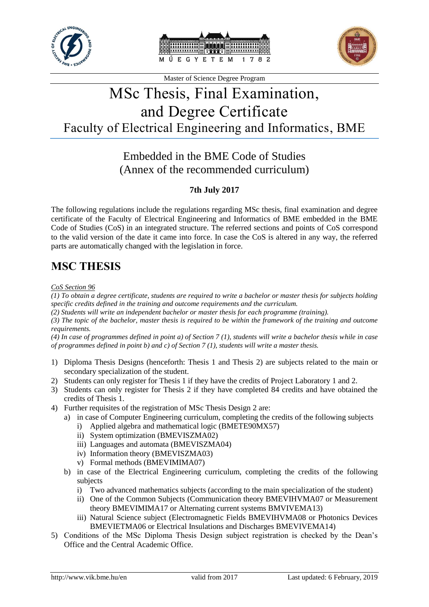





# MSc Thesis, Final Examination, and Degree Certificate Faculty of Electrical Engineering and Informatics, BME

## Embedded in the BME Code of Studies (Annex of the recommended curriculum)

### **7th July 2017**

The following regulations include the regulations regarding MSc thesis, final examination and degree certificate of the Faculty of Electrical Engineering and Informatics of BME embedded in the BME Code of Studies (CoS) in an integrated structure. The referred sections and points of CoS correspond to the valid version of the date it came into force. In case the CoS is altered in any way, the referred parts are automatically changed with the legislation in force.

# **MSC THESIS**

#### *CoS Section 96*

*(1) To obtain a degree certificate, students are required to write a bachelor or master thesis for subjects holding specific credits defined in the training and outcome requirements and the curriculum.*

*(2) Students will write an independent bachelor or master thesis for each programme (training).* 

*(3) The topic of the bachelor, master thesis is required to be within the framework of the training and outcome requirements.* 

*(4) In case of programmes defined in point a) of Section 7 (1), students will write a bachelor thesis while in case of programmes defined in point b) and c) of Section 7 (1), students will write a master thesis.*

- 1) Diploma Thesis Designs (henceforth: Thesis 1 and Thesis 2) are subjects related to the main or secondary specialization of the student.
- 2) Students can only register for Thesis 1 if they have the credits of Project Laboratory 1 and 2.
- 3) Students can only register for Thesis 2 if they have completed 84 credits and have obtained the credits of Thesis 1.
- 4) Further requisites of the registration of MSc Thesis Design 2 are:
	- a) in case of Computer Engineering curriculum, completing the credits of the following subjects i) Applied algebra and mathematical logic (BMETE90MX57)
		-
		- ii) System optimization (BMEVISZMA02)
		- iii) Languages and automata (BMEVISZMA04)
		- iv) Information theory (BMEVISZMA03)
		- v) Formal methods (BMEVIMIMA07)
	- b) in case of the Electrical Engineering curriculum, completing the credits of the following subjects
		- i) Two advanced mathematics subjects (according to the main specialization of the student)
		- ii) One of the Common Subjects (Communication theory BMEVIHVMA07 or Measurement theory BMEVIMIMA17 or Alternating current systems BMVIVEMA13)
		- iii) Natural Science subject (Electromagnetic Fields BMEVIHVMA08 or Photonics Devices BMEVIETMA06 or Electrical Insulations and Discharges BMEVIVEMA14)
- 5) Conditions of the MSc Diploma Thesis Design subject registration is checked by the Dean's Office and the Central Academic Office.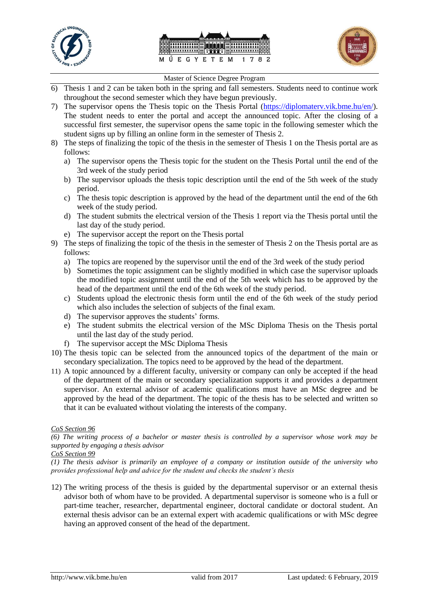





- 6) Thesis 1 and 2 can be taken both in the spring and fall semesters. Students need to continue work throughout the second semester which they have begun previously.
- 7) The supervisor opens the Thesis topic on the Thesis Portal [\(https://diplomaterv.vik.bme.hu/en/\)](https://diplomaterv.vik.bme.hu/en/). The student needs to enter the portal and accept the announced topic. After the closing of a successful first semester, the supervisor opens the same topic in the following semester which the student signs up by filling an online form in the semester of Thesis 2.
- 8) The steps of finalizing the topic of the thesis in the semester of Thesis 1 on the Thesis portal are as follows:
	- a) The supervisor opens the Thesis topic for the student on the Thesis Portal until the end of the 3rd week of the study period
	- b) The supervisor uploads the thesis topic description until the end of the 5th week of the study period.
	- c) The thesis topic description is approved by the head of the department until the end of the 6th week of the study period.
	- d) The student submits the electrical version of the Thesis 1 report via the Thesis portal until the last day of the study period.
	- e) The supervisor accept the report on the Thesis portal
- 9) The steps of finalizing the topic of the thesis in the semester of Thesis 2 on the Thesis portal are as follows:
	- a) The topics are reopened by the supervisor until the end of the 3rd week of the study period
	- b) Sometimes the topic assignment can be slightly modified in which case the supervisor uploads the modified topic assignment until the end of the 5th week which has to be approved by the head of the department until the end of the 6th week of the study period.
	- c) Students upload the electronic thesis form until the end of the 6th week of the study period which also includes the selection of subjects of the final exam.
	- d) The supervisor approves the students' forms.
	- e) The student submits the electrical version of the MSc Diploma Thesis on the Thesis portal until the last day of the study period.
	- f) The supervisor accept the MSc Diploma Thesis
- 10) The thesis topic can be selected from the announced topics of the department of the main or secondary specialization. The topics need to be approved by the head of the department.
- 11) A topic announced by a different faculty, university or company can only be accepted if the head of the department of the main or secondary specialization supports it and provides a department supervisor. An external advisor of academic qualifications must have an MSc degree and be approved by the head of the department. The topic of the thesis has to be selected and written so that it can be evaluated without violating the interests of the company.

#### *CoS Section 96*

*(6) The writing process of a bachelor or master thesis is controlled by a supervisor whose work may be supported by engaging a thesis advisor* 

#### *CoS Section 99*

*(1) The thesis advisor is primarily an employee of a company or institution outside of the university who provides professional help and advice for the student and checks the student's thesis*

12) The writing process of the thesis is guided by the departmental supervisor or an external thesis advisor both of whom have to be provided. A departmental supervisor is someone who is a full or part-time teacher, researcher, departmental engineer, doctoral candidate or doctoral student. An external thesis advisor can be an external expert with academic qualifications or with MSc degree having an approved consent of the head of the department.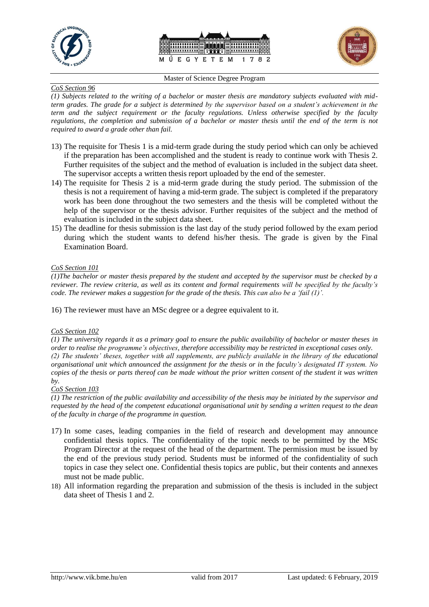





#### *CoS Section 96*

*(1) Subjects related to the writing of a bachelor or master thesis are mandatory subjects evaluated with midterm grades. The grade for a subject is determined by the supervisor based on a student's achievement in the term and the subject requirement or the faculty regulations. Unless otherwise specified by the faculty regulations, the completion and submission of a bachelor or master thesis until the end of the term is not required to award a grade other than fail.*

- 13) The requisite for Thesis 1 is a mid-term grade during the study period which can only be achieved if the preparation has been accomplished and the student is ready to continue work with Thesis 2. Further requisites of the subject and the method of evaluation is included in the subject data sheet. The supervisor accepts a written thesis report uploaded by the end of the semester.
- 14) The requisite for Thesis 2 is a mid-term grade during the study period. The submission of the thesis is not a requirement of having a mid-term grade. The subject is completed if the preparatory work has been done throughout the two semesters and the thesis will be completed without the help of the supervisor or the thesis advisor. Further requisites of the subject and the method of evaluation is included in the subject data sheet.
- 15) The deadline for thesis submission is the last day of the study period followed by the exam period during which the student wants to defend his/her thesis. The grade is given by the Final Examination Board.

#### *CoS Section 101*

*(1)The bachelor or master thesis prepared by the student and accepted by the supervisor must be checked by a reviewer. The review criteria, as well as its content and formal requirements will be specified by the faculty's code. The reviewer makes a suggestion for the grade of the thesis. This can also be a 'fail (1)'.*

16) The reviewer must have an MSc degree or a degree equivalent to it.

#### *CoS Section 102*

*(1) The university regards it as a primary goal to ensure the public availability of bachelor or master theses in order to realise the programme's objectives, therefore accessibility may be restricted in exceptional cases only. (2) The students' theses, together with all supplements, are publicly available in the library of the educational organisational unit which announced the assignment for the thesis or in the faculty's designated IT system. No copies of the thesis or parts thereof can be made without the prior written consent of the student it was written by.*

#### *CoS Section 103*

*(1) The restriction of the public availability and accessibility of the thesis may be initiated by the supervisor and requested by the head of the competent educational organisational unit by sending a written request to the dean of the faculty in charge of the programme in question.*

- 17) In some cases, leading companies in the field of research and development may announce confidential thesis topics. The confidentiality of the topic needs to be permitted by the MSc Program Director at the request of the head of the department. The permission must be issued by the end of the previous study period. Students must be informed of the confidentiality of such topics in case they select one. Confidential thesis topics are public, but their contents and annexes must not be made public.
- 18) All information regarding the preparation and submission of the thesis is included in the subject data sheet of Thesis 1 and 2.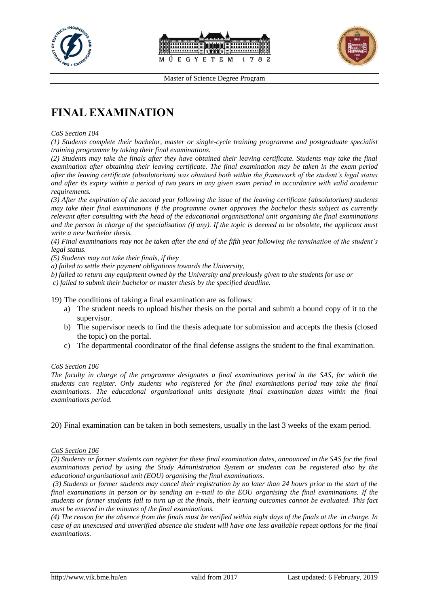





# **FINAL EXAMINATION**

#### *CoS Section 104*

*(1) Students complete their bachelor, master or single-cycle training programme and postgraduate specialist training programme by taking their final examinations.* 

*(2) Students may take the finals after they have obtained their leaving certificate. Students may take the final examination after obtaining their leaving certificate. The final examination may be taken in the exam period after the leaving certificate (absolutorium) was obtained both within the framework of the student's legal status and after its expiry within a period of two years in any given exam period in accordance with valid academic requirements.* 

*(3) After the expiration of the second year following the issue of the leaving certificate (absolutorium) students may take their final examinations if the programme owner approves the bachelor thesis subject as currently relevant after consulting with the head of the educational organisational unit organising the final examinations and the person in charge of the specialisation (if any). If the topic is deemed to be obsolete, the applicant must write a new bachelor thesis.* 

*(4) Final examinations may not be taken after the end of the fifth year following the termination of the student's legal status.* 

*(5) Students may not take their finals, if they* 

*a) failed to settle their payment obligations towards the University,* 

*b) failed to return any equipment owned by the University and previously given to the students for use or c) failed to submit their bachelor or master thesis by the specified deadline.*

19) The conditions of taking a final examination are as follows:

- a) The student needs to upload his/her thesis on the portal and submit a bound copy of it to the supervisor.
- b) The supervisor needs to find the thesis adequate for submission and accepts the thesis (closed the topic) on the portal.
- c) The departmental coordinator of the final defense assigns the student to the final examination.

#### *CoS Section 106*

*The faculty in charge of the programme designates a final examinations period in the SAS, for which the students can register. Only students who registered for the final examinations period may take the final examinations. The educational organisational units designate final examination dates within the final examinations period.* 

20) Final examination can be taken in both semesters, usually in the last 3 weeks of the exam period.

#### *CoS Section 106*

*(2) Students or former students can register for these final examination dates, announced in the SAS for the final examinations period by using the Study Administration System or students can be registered also by the educational organisational unit (EOU) organising the final examinations.*

*(3) Students or former students may cancel their registration by no later than 24 hours prior to the start of the final examinations in person or by sending an e-mail to the EOU organising the final examinations. If the students or former students fail to turn up at the finals, their learning outcomes cannot be evaluated. This fact must be entered in the minutes of the final examinations.* 

*(4) The reason for the absence from the finals must be verified within eight days of the finals at the in charge. In case of an unexcused and unverified absence the student will have one less available repeat options for the final examinations.*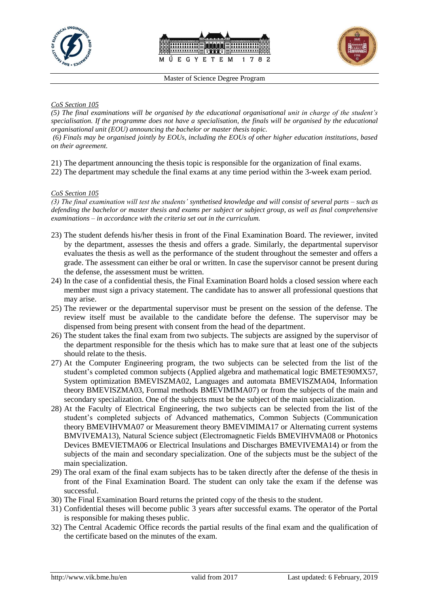





#### *CoS Section 105*

*(5) The final examinations will be organised by the educational organisational unit in charge of the student's specialisation. If the programme does not have a specialisation, the finals will be organised by the educational organisational unit (EOU) announcing the bachelor or master thesis topic. (6) Finals may be organised jointly by EOUs, including the EOUs of other higher education institutions, based on their agreement.*

- 21) The department announcing the thesis topic is responsible for the organization of final exams.
- 22) The department may schedule the final exams at any time period within the 3-week exam period.

#### *CoS Section 105*

*(3) The final examination will test the students' synthetised knowledge and will consist of several parts – such as defending the bachelor or master thesis and exams per subject or subject group, as well as final comprehensive examinations – in accordance with the criteria set out in the curriculum.*

- 23) The student defends his/her thesis in front of the Final Examination Board. The reviewer, invited by the department, assesses the thesis and offers a grade. Similarly, the departmental supervisor evaluates the thesis as well as the performance of the student throughout the semester and offers a grade. The assessment can either be oral or written. In case the supervisor cannot be present during the defense, the assessment must be written.
- 24) In the case of a confidential thesis, the Final Examination Board holds a closed session where each member must sign a privacy statement. The candidate has to answer all professional questions that may arise.
- 25) The reviewer or the departmental supervisor must be present on the session of the defense. The review itself must be available to the candidate before the defense. The supervisor may be dispensed from being present with consent from the head of the department.
- 26) The student takes the final exam from two subjects. The subjects are assigned by the supervisor of the department responsible for the thesis which has to make sure that at least one of the subjects should relate to the thesis.
- 27) At the Computer Engineering program, the two subjects can be selected from the list of the student's completed common subjects (Applied algebra and mathematical logic BMETE90MX57, System optimization BMEVISZMA02, Languages and automata BMEVISZMA04, Information theory BMEVISZMA03, Formal methods BMEVIMIMA07) or from the subjects of the main and secondary specialization. One of the subjects must be the subject of the main specialization.
- 28) At the Faculty of Electrical Engineering, the two subjects can be selected from the list of the student's completed subjects of Advanced mathematics, Common Subjects (Communication theory BMEVIHVMA07 or Measurement theory BMEVIMIMA17 or Alternating current systems BMVIVEMA13), Natural Science subject (Electromagnetic Fields BMEVIHVMA08 or Photonics Devices BMEVIETMA06 or Electrical Insulations and Discharges BMEVIVEMA14) or from the subjects of the main and secondary specialization. One of the subjects must be the subject of the main specialization.
- 29) The oral exam of the final exam subjects has to be taken directly after the defense of the thesis in front of the Final Examination Board. The student can only take the exam if the defense was successful.
- 30) The Final Examination Board returns the printed copy of the thesis to the student.
- 31) Confidential theses will become public 3 years after successful exams. The operator of the Portal is responsible for making theses public.
- 32) The Central Academic Office records the partial results of the final exam and the qualification of the certificate based on the minutes of the exam.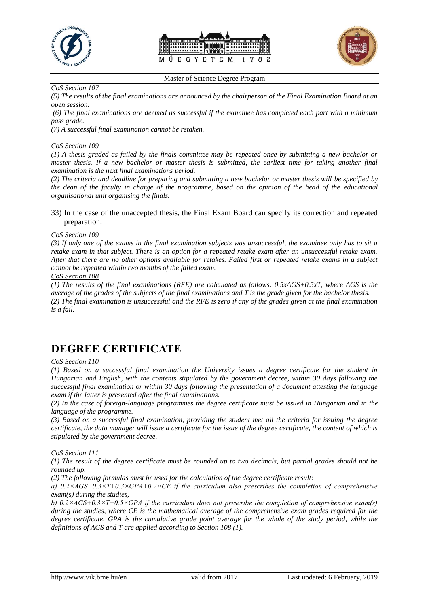





*CoS Section 107*

*(5) The results of the final examinations are announced by the chairperson of the Final Examination Board at an open session.*

*(6) The final examinations are deemed as successful if the examinee has completed each part with a minimum pass grade.* 

*(7) A successful final examination cannot be retaken.*

#### *CoS Section 109*

*(1) A thesis graded as failed by the finals committee may be repeated once by submitting a new bachelor or master thesis. If a new bachelor or master thesis is submitted, the earliest time for taking another final examination is the next final examinations period.* 

*(2) The criteria and deadline for preparing and submitting a new bachelor or master thesis will be specified by the dean of the faculty in charge of the programme, based on the opinion of the head of the educational organisational unit organising the finals.*

33) In the case of the unaccepted thesis, the Final Exam Board can specify its correction and repeated preparation.

#### *CoS Section 109*

*(3) If only one of the exams in the final examination subjects was unsuccessful, the examinee only has to sit a retake exam in that subject. There is an option for a repeated retake exam after an unsuccessful retake exam. After that there are no other options available for retakes. Failed first or repeated retake exams in a subject cannot be repeated within two months of the failed exam.*

*CoS Section 108* 

*(1) The results of the final examinations (RFE) are calculated as follows: 0.5xAGS+0.5xT, where AGS is the average of the grades of the subjects of the final examinations and T is the grade given for the bachelor thesis. (2) The final examination is unsuccessful and the RFE is zero if any of the grades given at the final examination is a fail.*

### **DEGREE CERTIFICATE**

#### *CoS Section 110*

*(1) Based on a successful final examination the University issues a degree certificate for the student in Hungarian and English, with the contents stipulated by the government decree, within 30 days following the successful final examination or within 30 days following the presentation of a document attesting the language exam if the latter is presented after the final examinations.* 

*(2) In the case of foreign-language programmes the degree certificate must be issued in Hungarian and in the language of the programme.* 

*(3) Based on a successful final examination, providing the student met all the criteria for issuing the degree certificate, the data manager will issue a certificate for the issue of the degree certificate, the content of which is stipulated by the government decree.*

*CoS Section 111*

*(1) The result of the degree certificate must be rounded up to two decimals, but partial grades should not be rounded up.* 

*(2) The following formulas must be used for the calculation of the degree certificate result:* 

*a) 0.2×AGS+0.3×T+0.3×GPA+0.2×CE if the curriculum also prescribes the completion of comprehensive exam(s) during the studies,* 

*b) 0.2×AGS+0.3×T+0.5×GPA if the curriculum does not prescribe the completion of comprehensive exam(s) during the studies, where CE is the mathematical average of the comprehensive exam grades required for the degree certificate, GPA is the cumulative grade point average for the whole of the study period, while the definitions of AGS and T are applied according to Section 108 (1).*